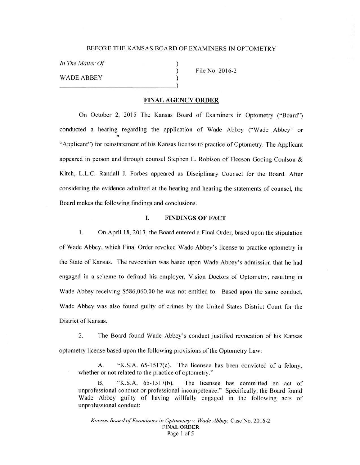#### BEFORE THE KANSAS BOARD OF EXAMINERS IN OPTOMETRY

) ) )

*In The Matter Of* 

WADE ABBEY

File No. 2016-2

## **FINAL AGENCY ORDER**

On October 2, 2015 The Kansas Board of Examiners in Optometry ("Board") conducted a hearing regarding the application of Wade Abbey ("Wade Abbey" or "Applicant") for reinstatement of his Kansas license to practice of Optometry. The Applicant appeared in person and through counsel Stephen E. Robison of Fleeson Gooing Coulson  $\&$ Kitch, L.L.C. Randall J. Forbes appeared as Disciplinary Counsel for the Board. After considering the evidence admitted at the hearing and hearing the statements of counsel, the Board makes the following findings and conclusions.

## I. **FINDINGS OF FACT**

I. On April 18, 2013, the Board entered a Final Order, based upon the stipulation of Wade Abbey, wh ich Final Order revoked Wade Abbey's license to practice optometry in the State of Kansas. The revocation was based upon Wade Abbey's admission that he had engaged in a scheme to defraud his employer, Vision Doctors of Optometry, resulting in Wade Abbey receiving \$586,060.00 he was not entitled to. Based upon the same conduct, Wade Abbey was also found guilty of crimes by the United States District Court for the District of Kansas.

2. The Board found Wade Abbey's conduct justified revocation of his Kansas optometry license based upon the following provisions of the Optometry Law:

A. "K.S.A. 65-1517(c). The licensee has been convicted of a felony, whether or not related to the practice of optometry."

B. "K.S.A. 65-1517(b). The licensee has committed an act of unprofessional conduct or professional incompetence." Specifically, the Board found Wade Abbey guilty of having willfully engaged in the following acts of unprofessional conduct:

*Kansas Board of Examiners in Optometry v. Wade Abbey,* Case No.20 16-2 **.FINAL ORDER**  Page 1 of 5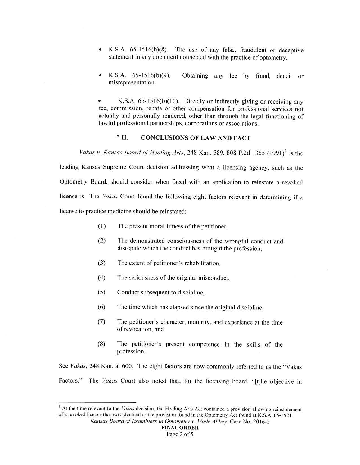- K.S.A.  $65-1516(b)(8)$ . The use of any false, fraudulent or deceptive statement in any document connected with the practice of optometry.
- K.S.A.  $65-1516(b)(9)$ . misrepresentation. Obtaining any fee by fraud, deceit or

K.S.A. 65-1516(b)(10). Directly or indirectly giving or receiving any fee, commission, rebate or other compensation for professional services not actually and personally rendered, other than through the legal functioning of lawful professional partnerships, corporations or associations.

## .. II. **CONCLUSIONS OF LAW AND FACT**

*Vakas v. Kansas Board of Healing Arts*, 248 Kan. 589, 808 P.2d 1355 (1991)<sup>1</sup> is the leading Kansas Supreme Court decision addressing what a licensing agency, such as the Optometry Board, should consider when faced with an application to reinstate a revoked license is The *Vakas* Court found the following eight factors relevant in determining if a license to practice medicine should be reinstated:

- (I) The present moral fitness of the petitioner,
- (2) The demonstrated consciousness of the wrongful conduct and disrepute which the conduct has brought the profession,
- (3) The extent of petitioner's rehabilitation,
- (4) The seriousness of the original misconduct,
- (5) Conduct subsequent to discipline,
- (6) The time which has elapsed since the original discipline,
- (7) The petitioner's character, maturity, and experience at the time of revocation, and
- (8) The petitioner's present competence in the skills of the profession.

See *Vakas*, 248 Kan. at 600. The eight factors are now commonly referred to as the "Vakas Factors." The *Vakas* Court also noted that, for the licensing board, "[t]he objective in

<sup>1</sup> At the time relevant to the *Vakas* decision. the Healing Arts Act contained a provision allowing reinstatement ofa revoked license that was identical to the provision found in the Optometry Act found at K.S.A. 65·1521. *Kansas Board of Examiners in Optometry v. Wade Abbey,* Case No. 20 16-2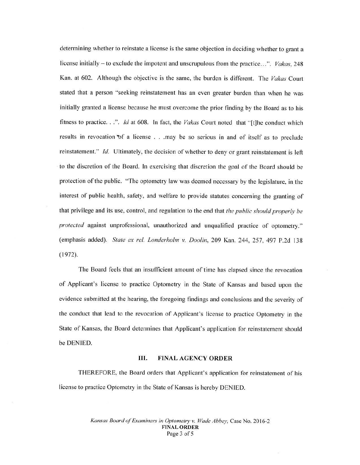determining whether to reinstate a license is the same objection in deciding whether to grant a license initially - to exclude the impotent and unscrupulous from the practice...". *Vakas*, 248 Kan. at 602. Although the objective is the same, the burden is different. The *Vakas* Court stated that a person "seeking reinstatement has an even greater burden than when he was initially granted a license because he must overcome the prior finding by the Board as to his fitness to practice. . .". *Id* at 608. In fact, the *Vakas* Court noted that "[t]he conduct which results in revocation of a license . . . may be so serious in and of itself as to preclude reinstatement." *Id.* Ultimately, the decision of whether to deny or grant reinstatement is left to the discretion of the Board. In exercising that discretion the goal of the Board should be protection of the public. "The optometry law was deemed necessary by the legislature, in the interest of public health, safety, and welfare to provide statutes concerning the granting of that privilege and its use, control, and regulation to the end that *the public should properly be protected* against unprofessional, unauthorized and unqualified practice of optometry." (emphasis added). *State ex rel. Londerholm v. Doolin,* 209 Kan. 244, 257, 497 P.2d 138 (1972).

The Board feels that an insufficient amount of time has e lapsed since the revocation of Applicant's license to practice Optometry in the State of Kansas and based upon the evidence submitted at the hearing, the foregoing findings and conclusions and the severity of the conduct that lead to the revocation of Applicant's license to practice Optometry in the State of Kansas, the Board determines that Applicant's application for reinstatement should be DENIED.

#### III. **FINAL AGENCY ORDER**

THEREFORE, the Board orders that Applicant's application for reinstatement of his license to practice Optometry in the State of Kansas is hereby DENIED.

> *Kansas Board of Examiners in Optometry v. Wade Abbey,* Case No.2016-2 **FINAL ORDER**  Page 3 of 5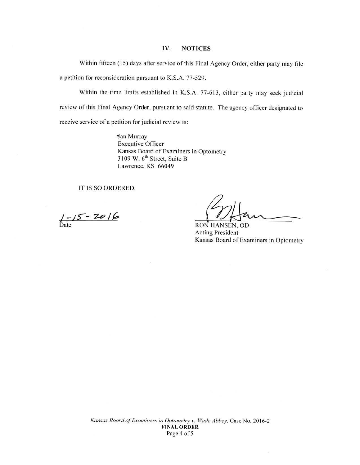## **IV. NOTICES**

Within fifteen (15) days after service of this Final Agency Order, either party may file a petition for reconsideration pursuant to K.S.A. 77-529.

Within the time limits established in K.S.A. 77-613, either party may seek judicial review of this Final Agency Order, pursuant to said statute. The agency officer designated to receive service of a petition for judicial review is:

> **Jan Murray** Executive Officer Kansas Board of Examiners in Optometry 3109 W. 6<sup>th</sup> Street, Suite B Lawrence, KS 66049

IT IS SO ORDERED.

 $1 - 15 - 2016$ Date RON

Officers<br>
HANSEN, OD

RON HANSEN, OD Acting President Kansas Board of Examiners in Optometry

 $\bar{\chi}$